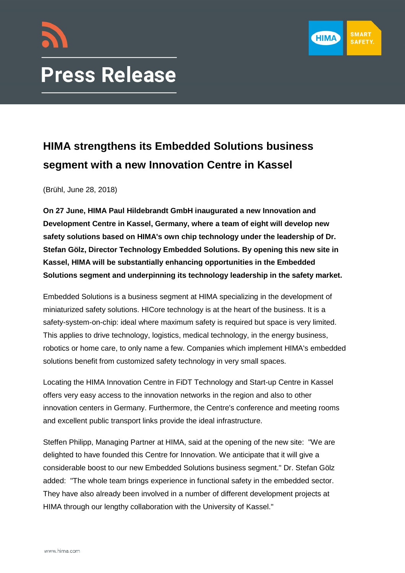



# **HIMA strengthens its Embedded Solutions business segment with a new Innovation Centre in Kassel**

(Brühl, June 28, 2018)

**On 27 June, HIMA Paul Hildebrandt GmbH inaugurated a new Innovation and Development Centre in Kassel, Germany, where a team of eight will develop new safety solutions based on HIMA's own chip technology under the leadership of Dr. Stefan Gölz, Director Technology Embedded Solutions. By opening this new site in Kassel, HIMA will be substantially enhancing opportunities in the Embedded Solutions segment and underpinning its technology leadership in the safety market.** 

Embedded Solutions is a business segment at HIMA specializing in the development of miniaturized safety solutions. HICore technology is at the heart of the business. It is a safety-system-on-chip: ideal where maximum safety is required but space is very limited. This applies to drive technology, logistics, medical technology, in the energy business, robotics or home care, to only name a few. Companies which implement HIMA's embedded solutions benefit from customized safety technology in very small spaces.

Locating the HIMA Innovation Centre in FiDT Technology and Start-up Centre in Kassel offers very easy access to the innovation networks in the region and also to other innovation centers in Germany. Furthermore, the Centre's conference and meeting rooms and excellent public transport links provide the ideal infrastructure.

Steffen Philipp, Managing Partner at HIMA, said at the opening of the new site: "We are delighted to have founded this Centre for Innovation. We anticipate that it will give a considerable boost to our new Embedded Solutions business segment." Dr. Stefan Gölz added: "The whole team brings experience in functional safety in the embedded sector. They have also already been involved in a number of different development projects at HIMA through our lengthy collaboration with the University of Kassel."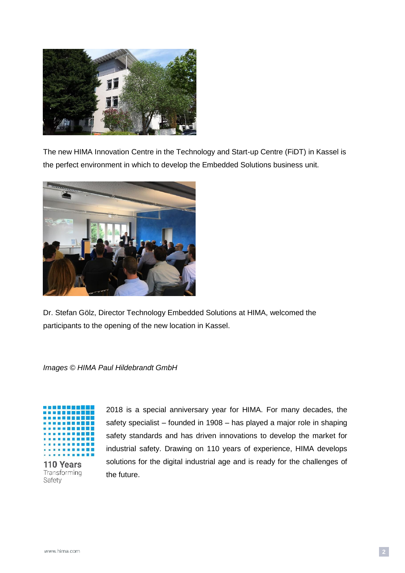

The new HIMA Innovation Centre in the Technology and Start-up Centre (FiDT) in Kassel is the perfect environment in which to develop the Embedded Solutions business unit.



Dr. Stefan Gölz, Director Technology Embedded Solutions at HIMA, welcomed the participants to the opening of the new location in Kassel.

## *Images © HIMA Paul Hildebrandt GmbH*



110 Years Transforming Safety

2018 is a special anniversary year for HIMA. For many decades, the safety specialist – founded in 1908 – has played a major role in shaping safety standards and has driven innovations to develop the market for industrial safety. Drawing on 110 years of experience, HIMA develops solutions for the digital industrial age and is ready for the challenges of the future.